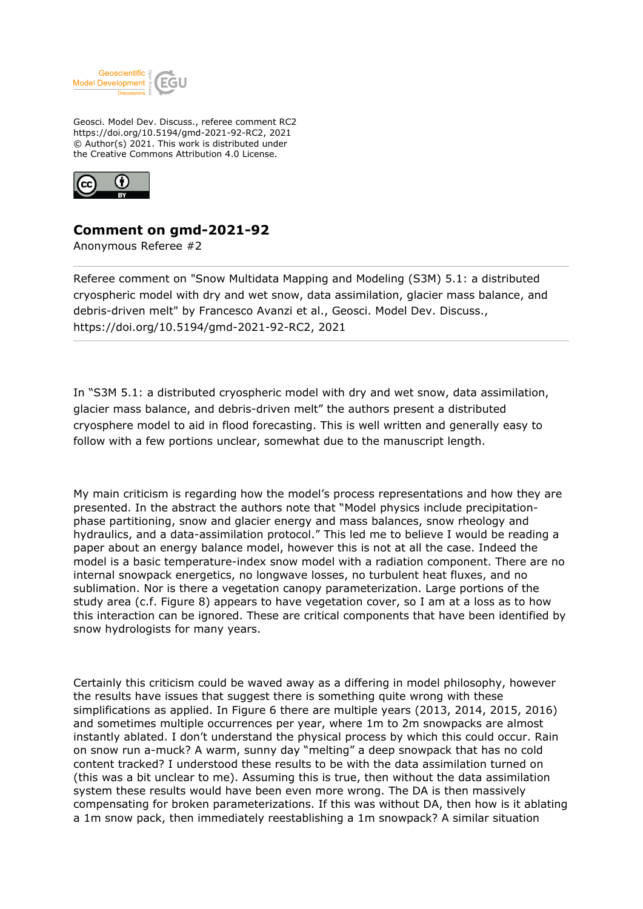

Geosci. Model Dev. Discuss., referee comment RC2 https://doi.org/10.5194/gmd-2021-92-RC2, 2021 © Author(s) 2021. This work is distributed under the Creative Commons Attribution 4.0 License.



## **Comment on gmd-2021-92**

Anonymous Referee #2

Referee comment on "Snow Multidata Mapping and Modeling (S3M) 5.1: a distributed cryospheric model with dry and wet snow, data assimilation, glacier mass balance, and debris-driven melt" by Francesco Avanzi et al., Geosci. Model Dev. Discuss., https://doi.org/10.5194/gmd-2021-92-RC2, 2021

In "S3M 5.1: a distributed cryospheric model with dry and wet snow, data assimilation, glacier mass balance, and debris-driven melt" the authors present a distributed cryosphere model to aid in flood forecasting. This is well written and generally easy to follow with a few portions unclear, somewhat due to the manuscript length.

My main criticism is regarding how the model's process representations and how they are presented. In the abstract the authors note that "Model physics include precipitationphase partitioning, snow and glacier energy and mass balances, snow rheology and hydraulics, and a data-assimilation protocol." This led me to believe I would be reading a paper about an energy balance model, however this is not at all the case. Indeed the model is a basic temperature-index snow model with a radiation component. There are no internal snowpack energetics, no longwave losses, no turbulent heat fluxes, and no sublimation. Nor is there a vegetation canopy parameterization. Large portions of the study area (c.f. Figure 8) appears to have vegetation cover, so I am at a loss as to how this interaction can be ignored. These are critical components that have been identified by snow hydrologists for many years.

Certainly this criticism could be waved away as a differing in model philosophy, however the results have issues that suggest there is something quite wrong with these simplifications as applied. In Figure 6 there are multiple years (2013, 2014, 2015, 2016) and sometimes multiple occurrences per year, where 1m to 2m snowpacks are almost instantly ablated. I don't understand the physical process by which this could occur. Rain on snow run a-muck? A warm, sunny day "melting" a deep snowpack that has no cold content tracked? I understood these results to be with the data assimilation turned on (this was a bit unclear to me). Assuming this is true, then without the data assimilation system these results would have been even more wrong. The DA is then massively compensating for broken parameterizations. If this was without DA, then how is it ablating a 1m snow pack, then immediately reestablishing a 1m snowpack? A similar situation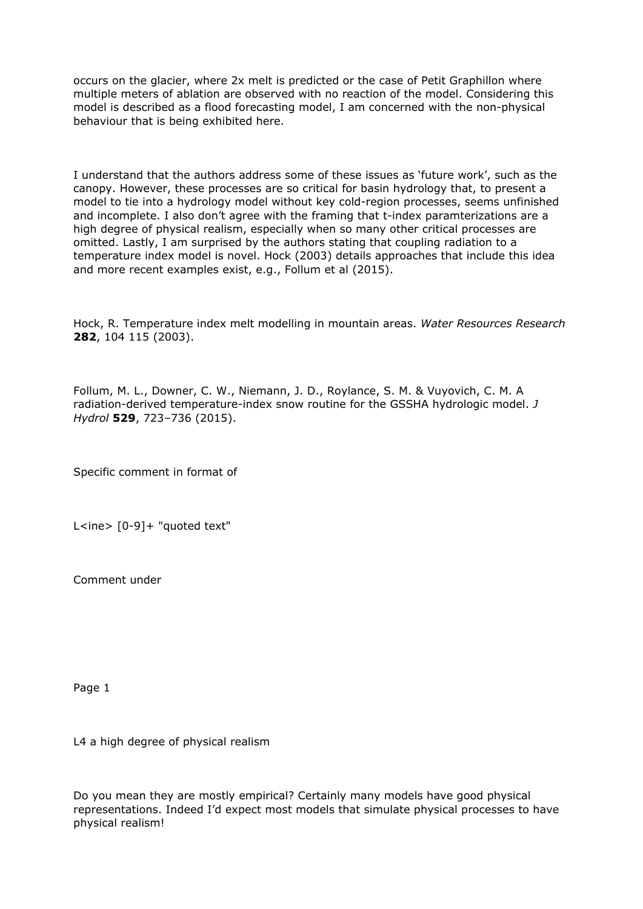occurs on the glacier, where 2x melt is predicted or the case of Petit Graphillon where multiple meters of ablation are observed with no reaction of the model. Considering this model is described as a flood forecasting model, I am concerned with the non-physical behaviour that is being exhibited here.

I understand that the authors address some of these issues as 'future work', such as the canopy. However, these processes are so critical for basin hydrology that, to present a model to tie into a hydrology model without key cold-region processes, seems unfinished and incomplete. I also don't agree with the framing that t-index paramterizations are a high degree of physical realism, especially when so many other critical processes are omitted. Lastly, I am surprised by the authors stating that coupling radiation to a temperature index model is novel. Hock (2003) details approaches that include this idea and more recent examples exist, e.g., Follum et al (2015).

Hock, R. Temperature index melt modelling in mountain areas. *Water Resources Research* **282**, 104 115 (2003).

Follum, M. L., Downer, C. W., Niemann, J. D., Roylance, S. M. & Vuyovich, C. M. A radiation-derived temperature-index snow routine for the GSSHA hydrologic model. *J Hydrol* **529**, 723–736 (2015).

Specific comment in format of

L<ine> [0-9]+ "quoted text"

Comment under

Page 1

L4 a high degree of physical realism

Do you mean they are mostly empirical? Certainly many models have good physical representations. Indeed I'd expect most models that simulate physical processes to have physical realism!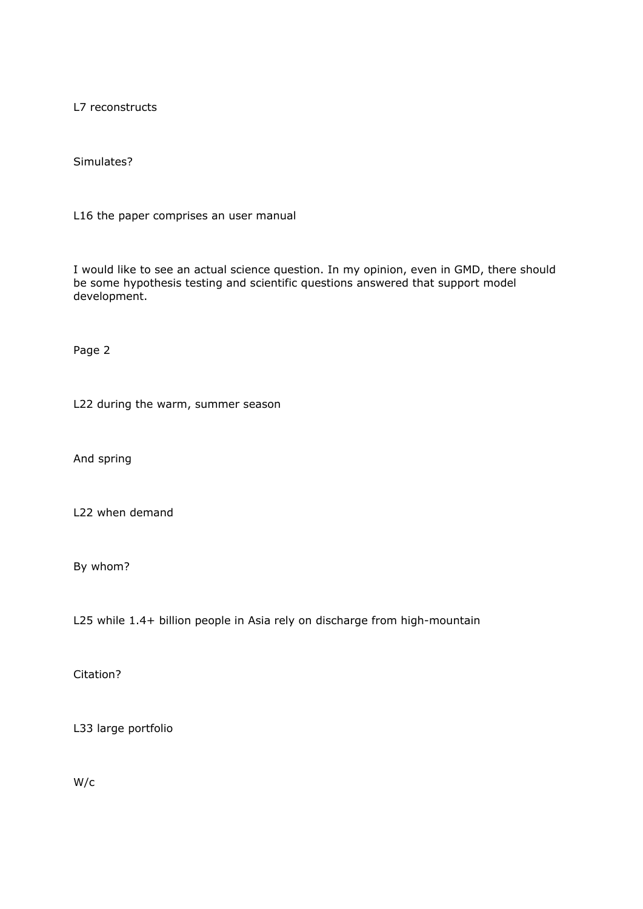L7 reconstructs

Simulates?

L16 the paper comprises an user manual

I would like to see an actual science question. In my opinion, even in GMD, there should be some hypothesis testing and scientific questions answered that support model development.

Page 2

L22 during the warm, summer season

And spring

L22 when demand

By whom?

L25 while 1.4+ billion people in Asia rely on discharge from high-mountain

Citation?

L33 large portfolio

W/c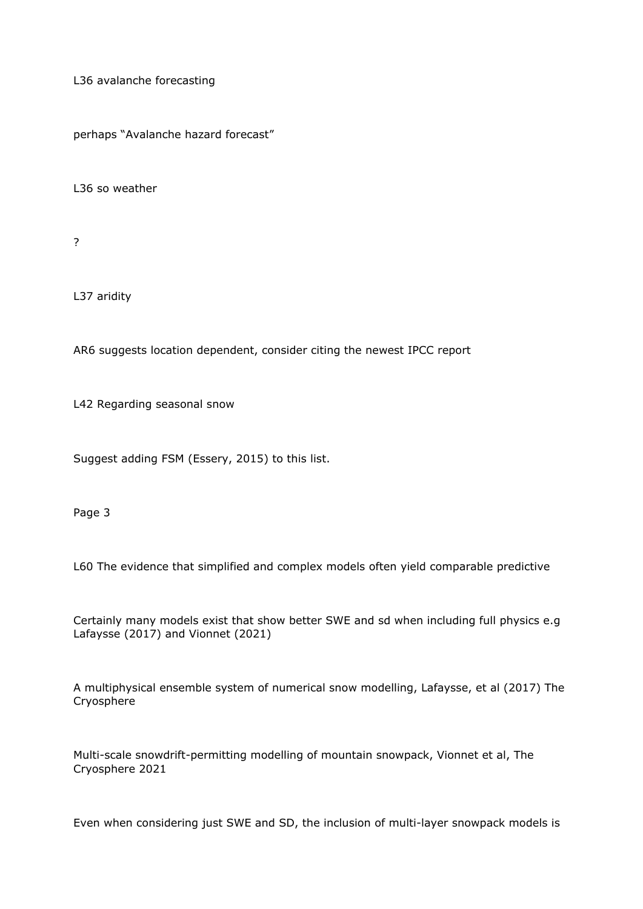L36 avalanche forecasting

perhaps "Avalanche hazard forecast"

L36 so weather

?

L37 aridity

AR6 suggests location dependent, consider citing the newest IPCC report

L42 Regarding seasonal snow

Suggest adding FSM (Essery, 2015) to this list.

Page 3

L60 The evidence that simplified and complex models often yield comparable predictive

Certainly many models exist that show better SWE and sd when including full physics e.g Lafaysse (2017) and Vionnet (2021)

A multiphysical ensemble system of numerical snow modelling, Lafaysse, et al (2017) The Cryosphere

Multi-scale snowdrift-permitting modelling of mountain snowpack, Vionnet et al, The Cryosphere 2021

Even when considering just SWE and SD, the inclusion of multi-layer snowpack models is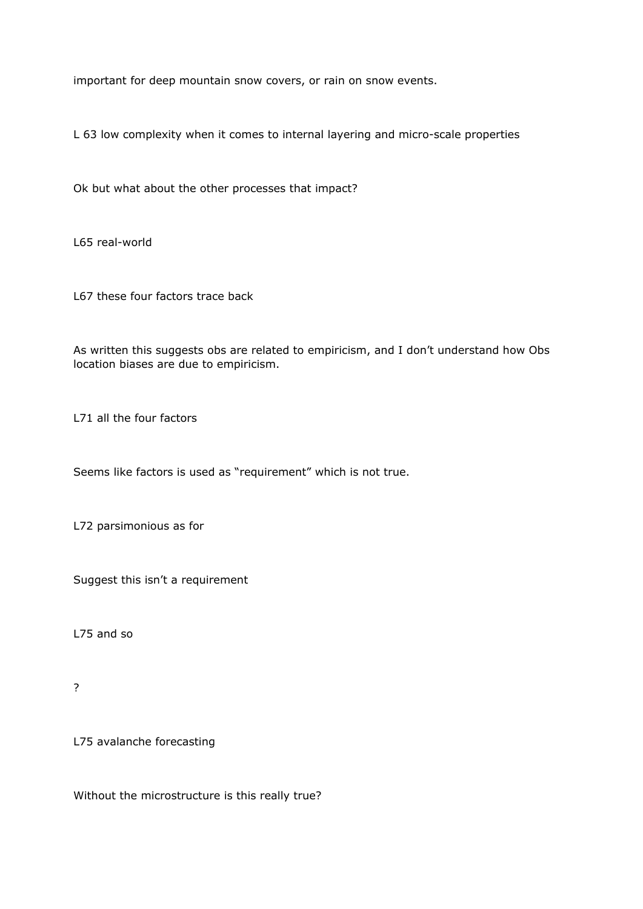important for deep mountain snow covers, or rain on snow events.

L 63 low complexity when it comes to internal layering and micro-scale properties

Ok but what about the other processes that impact?

L65 real-world

L67 these four factors trace back

As written this suggests obs are related to empiricism, and I don't understand how Obs location biases are due to empiricism.

L71 all the four factors

Seems like factors is used as "requirement" which is not true.

L72 parsimonious as for

Suggest this isn't a requirement

L75 and so

?

L75 avalanche forecasting

Without the microstructure is this really true?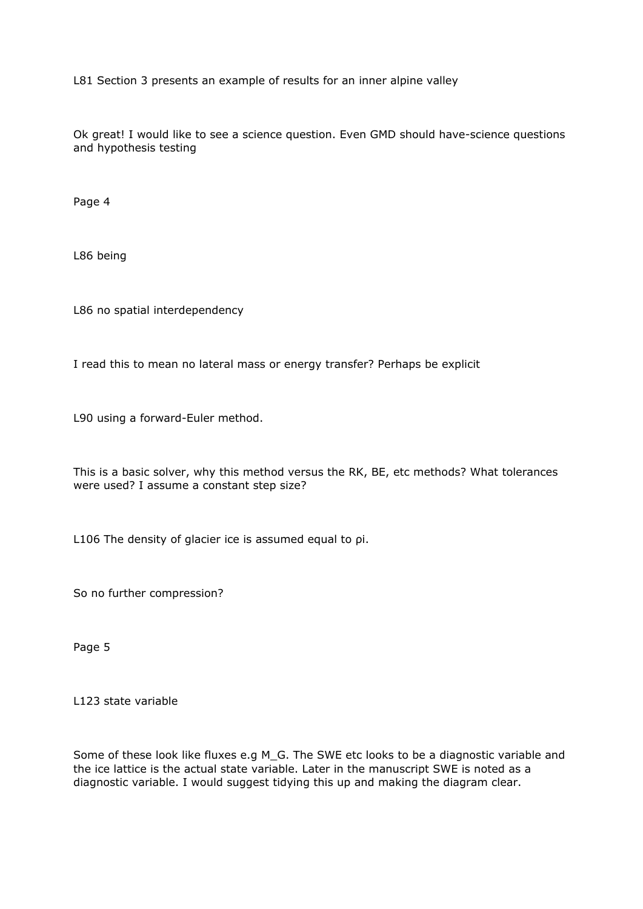L81 Section 3 presents an example of results for an inner alpine valley

Ok great! I would like to see a science question. Even GMD should have-science questions and hypothesis testing

Page 4

L86 being

L86 no spatial interdependency

I read this to mean no lateral mass or energy transfer? Perhaps be explicit

L90 using a forward-Euler method.

This is a basic solver, why this method versus the RK, BE, etc methods? What tolerances were used? I assume a constant step size?

L106 The density of glacier ice is assumed equal to ρi.

So no further compression?

Page 5

L123 state variable

Some of these look like fluxes e.g M\_G. The SWE etc looks to be a diagnostic variable and the ice lattice is the actual state variable. Later in the manuscript SWE is noted as a diagnostic variable. I would suggest tidying this up and making the diagram clear.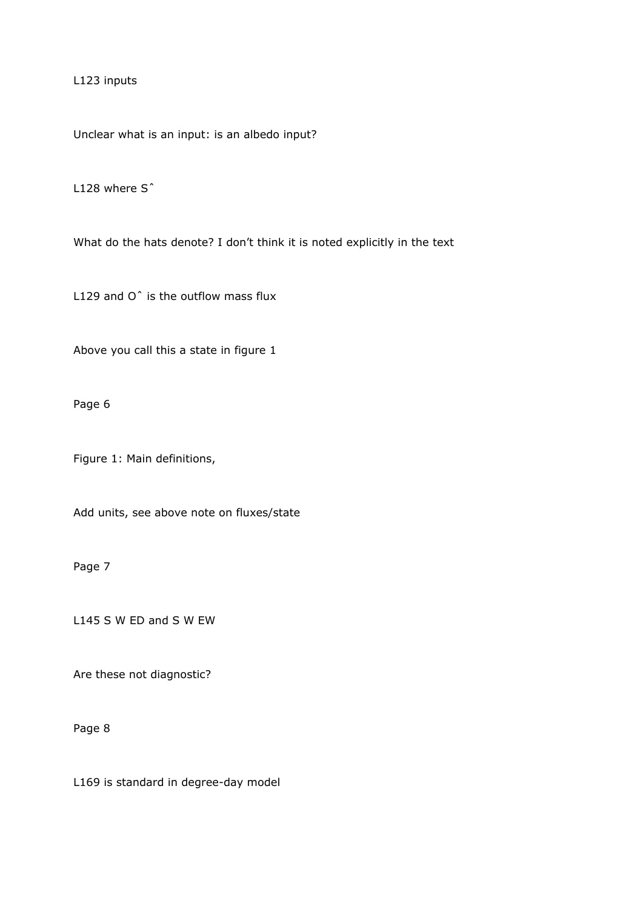L123 inputs

Unclear what is an input: is an albedo input?

L128 where S<sup>^</sup>

What do the hats denote? I don't think it is noted explicitly in the text

L129 and O<sup> $\hat{ }$ </sup> is the outflow mass flux

Above you call this a state in figure 1

Page 6

Figure 1: Main definitions,

Add units, see above note on fluxes/state

Page 7

L145 S W ED and S W EW

Are these not diagnostic?

Page 8

L169 is standard in degree-day model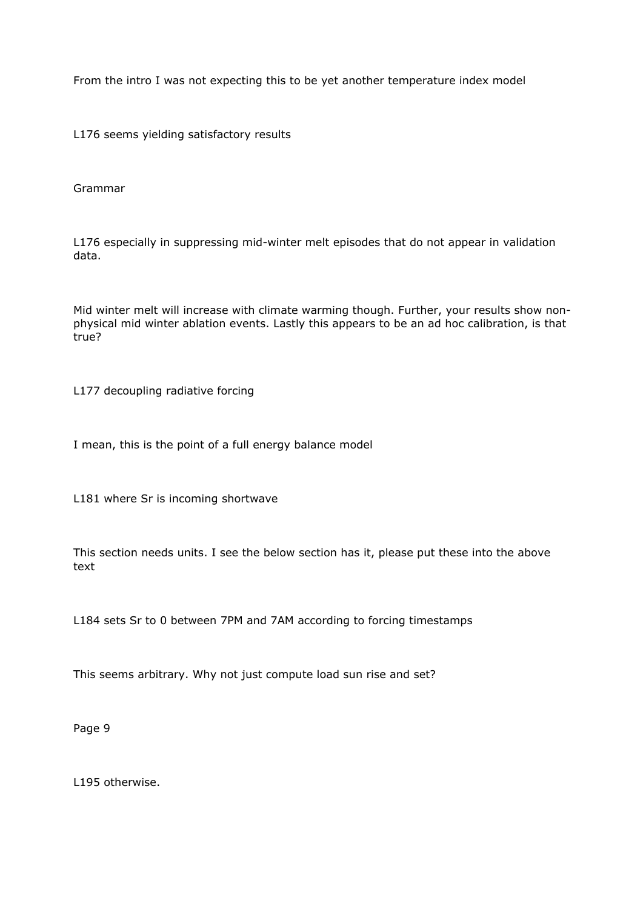From the intro I was not expecting this to be yet another temperature index model

L176 seems yielding satisfactory results

Grammar

L176 especially in suppressing mid-winter melt episodes that do not appear in validation data.

Mid winter melt will increase with climate warming though. Further, your results show nonphysical mid winter ablation events. Lastly this appears to be an ad hoc calibration, is that true?

L177 decoupling radiative forcing

I mean, this is the point of a full energy balance model

L181 where Sr is incoming shortwave

This section needs units. I see the below section has it, please put these into the above text

L184 sets Sr to 0 between 7PM and 7AM according to forcing timestamps

This seems arbitrary. Why not just compute load sun rise and set?

Page 9

L195 otherwise.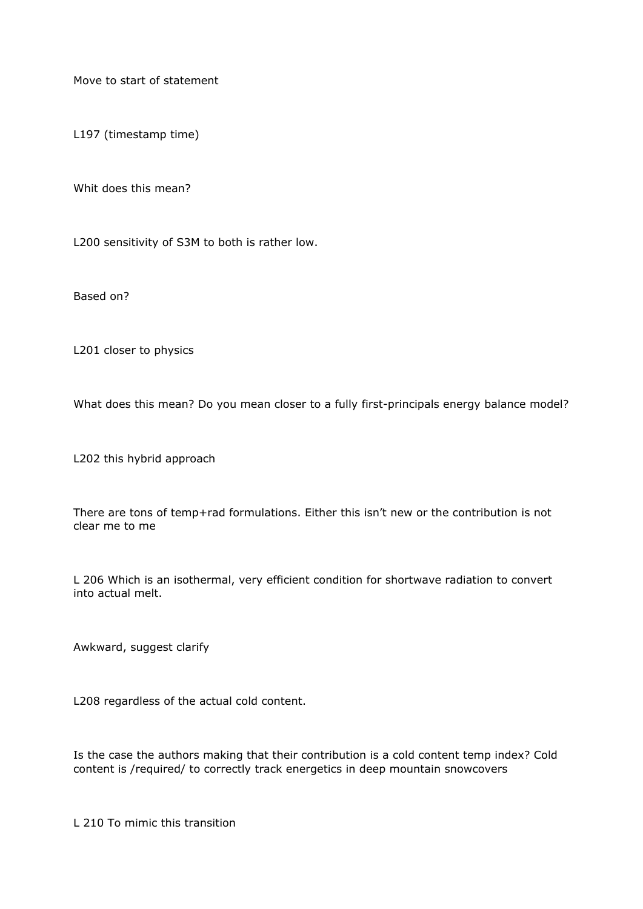Move to start of statement

L197 (timestamp time)

Whit does this mean?

L200 sensitivity of S3M to both is rather low.

Based on?

L201 closer to physics

What does this mean? Do you mean closer to a fully first-principals energy balance model?

L202 this hybrid approach

There are tons of temp+rad formulations. Either this isn't new or the contribution is not clear me to me

L 206 Which is an isothermal, very efficient condition for shortwave radiation to convert into actual melt.

Awkward, suggest clarify

L208 regardless of the actual cold content.

Is the case the authors making that their contribution is a cold content temp index? Cold content is /required/ to correctly track energetics in deep mountain snowcovers

L 210 To mimic this transition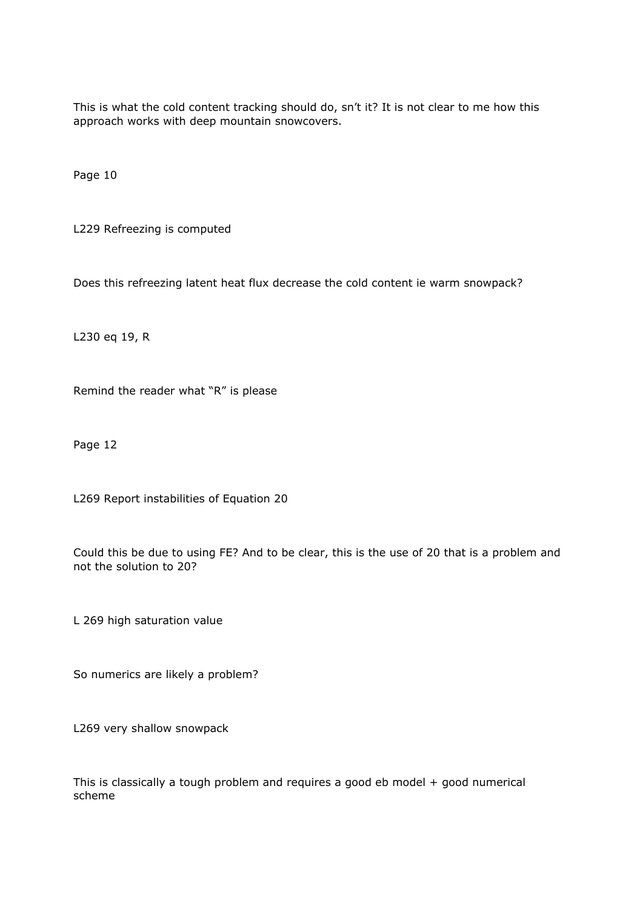This is what the cold content tracking should do, sn't it? It is not clear to me how this approach works with deep mountain snowcovers.

Page 10

L229 Refreezing is computed

Does this refreezing latent heat flux decrease the cold content ie warm snowpack?

L230 eq 19, R

Remind the reader what "R" is please

Page 12

L269 Report instabilities of Equation 20

Could this be due to using FE? And to be clear, this is the use of 20 that is a problem and not the solution to 20?

L 269 high saturation value

So numerics are likely a problem?

L269 very shallow snowpack

This is classically a tough problem and requires a good eb model + good numerical scheme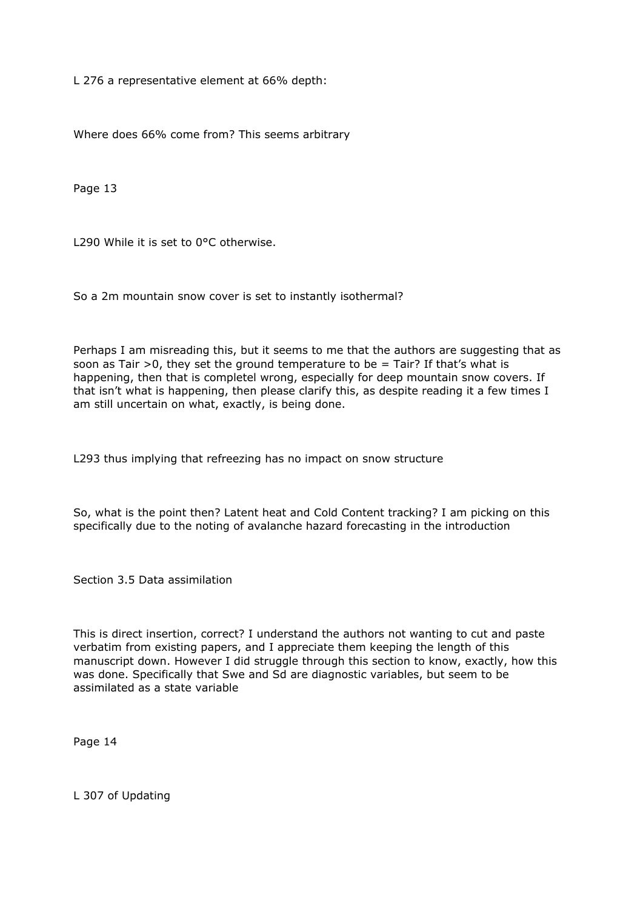L 276 a representative element at 66% depth:

Where does 66% come from? This seems arbitrary

Page 13

L290 While it is set to 0°C otherwise.

So a 2m mountain snow cover is set to instantly isothermal?

Perhaps I am misreading this, but it seems to me that the authors are suggesting that as soon as Tair  $>0$ , they set the ground temperature to be = Tair? If that's what is happening, then that is completel wrong, especially for deep mountain snow covers. If that isn't what is happening, then please clarify this, as despite reading it a few times I am still uncertain on what, exactly, is being done.

L293 thus implying that refreezing has no impact on snow structure

So, what is the point then? Latent heat and Cold Content tracking? I am picking on this specifically due to the noting of avalanche hazard forecasting in the introduction

Section 3.5 Data assimilation

This is direct insertion, correct? I understand the authors not wanting to cut and paste verbatim from existing papers, and I appreciate them keeping the length of this manuscript down. However I did struggle through this section to know, exactly, how this was done. Specifically that Swe and Sd are diagnostic variables, but seem to be assimilated as a state variable

Page 14

L 307 of Updating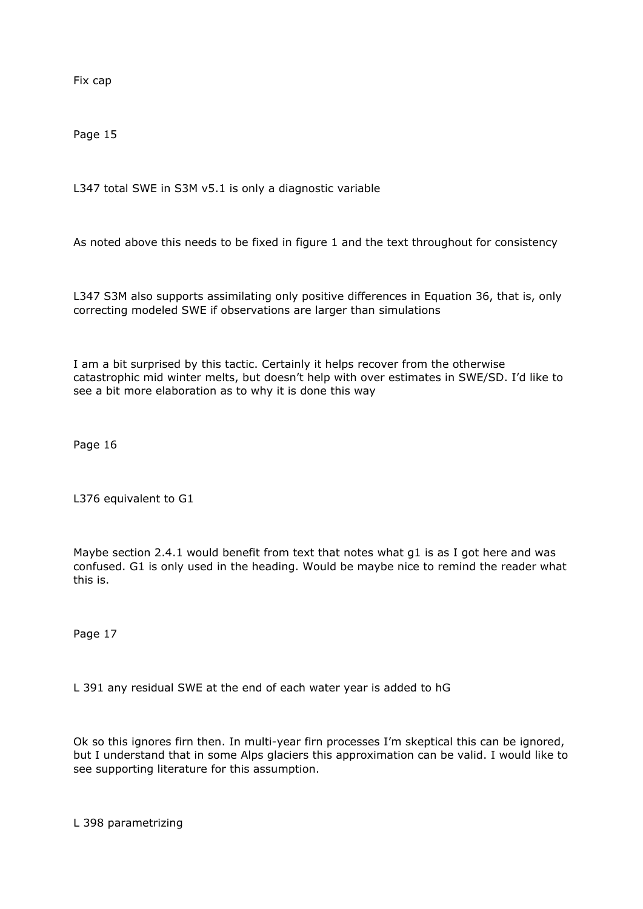Fix cap

Page 15

L347 total SWE in S3M v5.1 is only a diagnostic variable

As noted above this needs to be fixed in figure 1 and the text throughout for consistency

L347 S3M also supports assimilating only positive differences in Equation 36, that is, only correcting modeled SWE if observations are larger than simulations

I am a bit surprised by this tactic. Certainly it helps recover from the otherwise catastrophic mid winter melts, but doesn't help with over estimates in SWE/SD. I'd like to see a bit more elaboration as to why it is done this way

Page 16

L376 equivalent to G1

Maybe section 2.4.1 would benefit from text that notes what g1 is as I got here and was confused. G1 is only used in the heading. Would be maybe nice to remind the reader what this is.

Page 17

L 391 any residual SWE at the end of each water year is added to hG

Ok so this ignores firn then. In multi-year firn processes I'm skeptical this can be ignored, but I understand that in some Alps glaciers this approximation can be valid. I would like to see supporting literature for this assumption.

L 398 parametrizing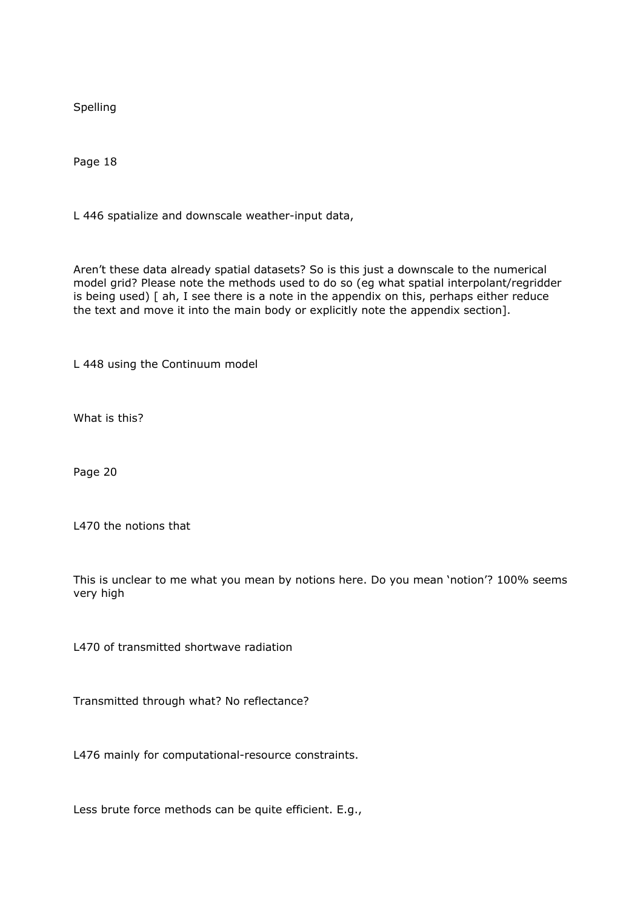Spelling

Page 18

L 446 spatialize and downscale weather-input data,

Aren't these data already spatial datasets? So is this just a downscale to the numerical model grid? Please note the methods used to do so (eg what spatial interpolant/regridder is being used) [ ah, I see there is a note in the appendix on this, perhaps either reduce the text and move it into the main body or explicitly note the appendix section].

L 448 using the Continuum model

What is this?

Page 20

L470 the notions that

This is unclear to me what you mean by notions here. Do you mean 'notion'? 100% seems very high

L470 of transmitted shortwave radiation

Transmitted through what? No reflectance?

L476 mainly for computational-resource constraints.

Less brute force methods can be quite efficient. E.g.,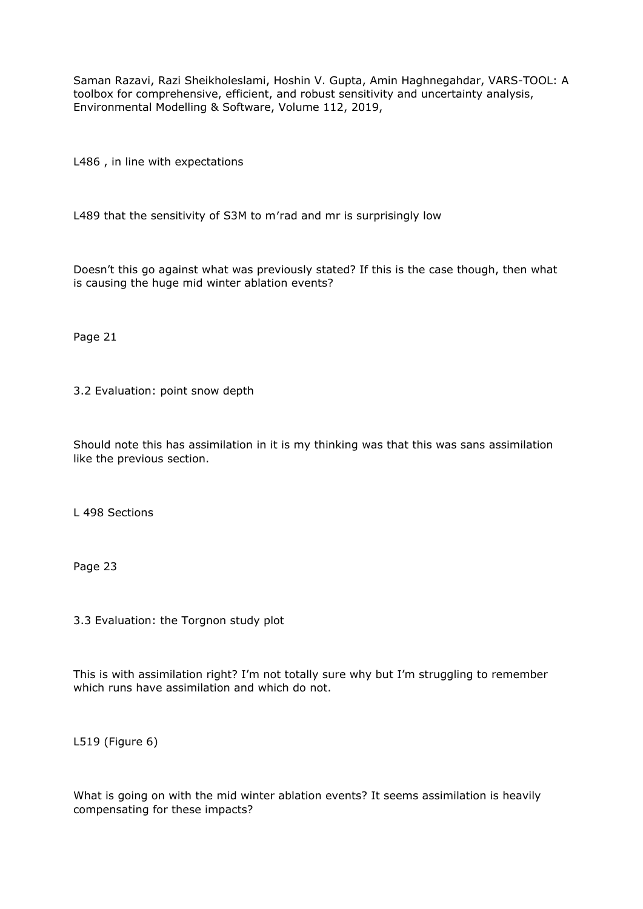Saman Razavi, Razi Sheikholeslami, Hoshin V. Gupta, Amin Haghnegahdar, VARS-TOOL: A toolbox for comprehensive, efficient, and robust sensitivity and uncertainty analysis, Environmental Modelling & Software, Volume 112, 2019,

L486 , in line with expectations

L489 that the sensitivity of S3M to m′rad and mr is surprisingly low

Doesn't this go against what was previously stated? If this is the case though, then what is causing the huge mid winter ablation events?

Page 21

3.2 Evaluation: point snow depth

Should note this has assimilation in it is my thinking was that this was sans assimilation like the previous section.

L 498 Sections

Page 23

3.3 Evaluation: the Torgnon study plot

This is with assimilation right? I'm not totally sure why but I'm struggling to remember which runs have assimilation and which do not.

L519 (Figure 6)

What is going on with the mid winter ablation events? It seems assimilation is heavily compensating for these impacts?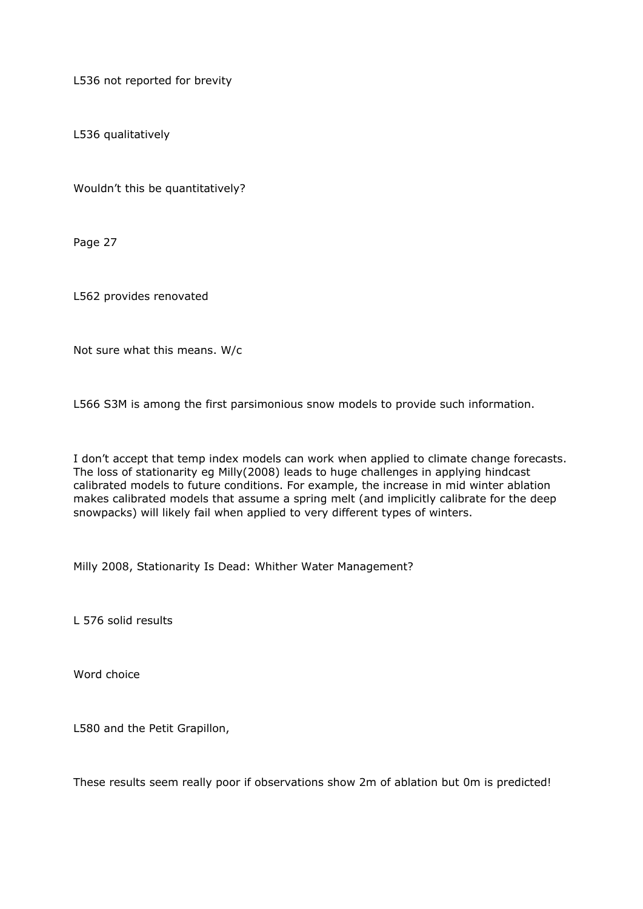L536 not reported for brevity

L536 qualitatively

Wouldn't this be quantitatively?

Page 27

L562 provides renovated

Not sure what this means. W/c

L566 S3M is among the first parsimonious snow models to provide such information.

I don't accept that temp index models can work when applied to climate change forecasts. The loss of stationarity eg Milly(2008) leads to huge challenges in applying hindcast calibrated models to future conditions. For example, the increase in mid winter ablation makes calibrated models that assume a spring melt (and implicitly calibrate for the deep snowpacks) will likely fail when applied to very different types of winters.

Milly 2008, Stationarity Is Dead: Whither Water Management?

L 576 solid results

Word choice

L580 and the Petit Grapillon,

These results seem really poor if observations show 2m of ablation but 0m is predicted!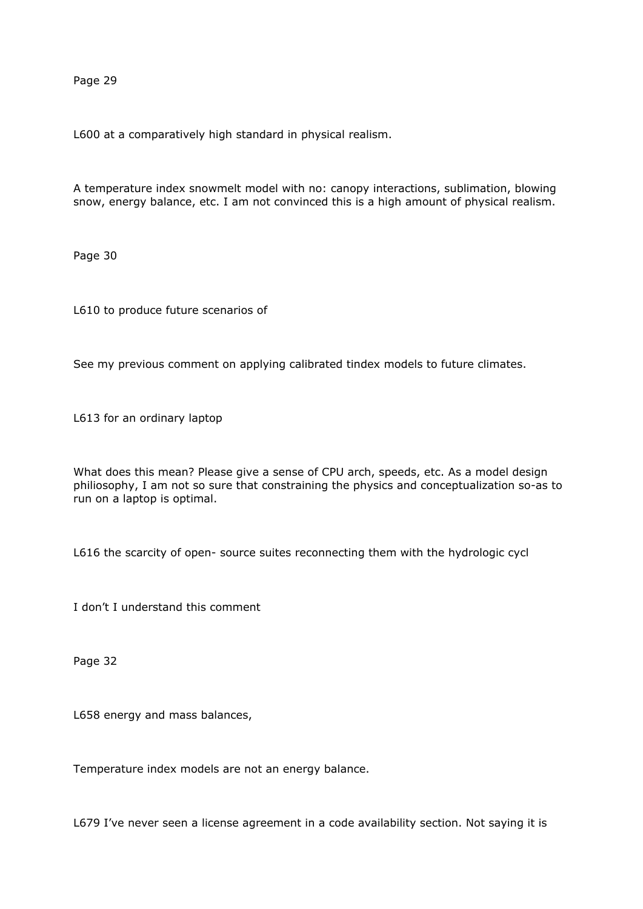Page 29

L600 at a comparatively high standard in physical realism.

A temperature index snowmelt model with no: canopy interactions, sublimation, blowing snow, energy balance, etc. I am not convinced this is a high amount of physical realism.

Page 30

L610 to produce future scenarios of

See my previous comment on applying calibrated tindex models to future climates.

L613 for an ordinary laptop

What does this mean? Please give a sense of CPU arch, speeds, etc. As a model design philiosophy, I am not so sure that constraining the physics and conceptualization so-as to run on a laptop is optimal.

L616 the scarcity of open- source suites reconnecting them with the hydrologic cycl

I don't I understand this comment

Page 32

L658 energy and mass balances,

Temperature index models are not an energy balance.

L679 I've never seen a license agreement in a code availability section. Not saying it is